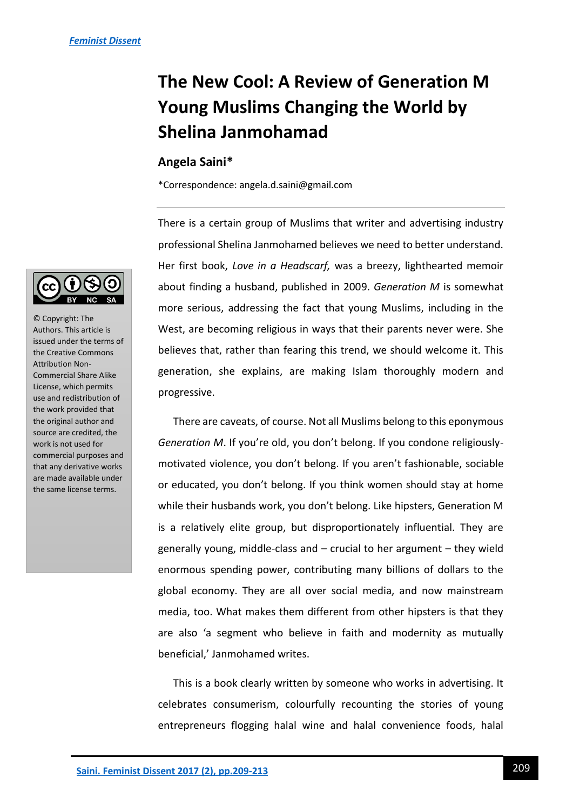## **The New Cool: A Review of Generation M Young Muslims Changing the World by Shelina Janmohamad**

## **Angela Saini\***

\*Correspondence: angela.d.saini@gmail.com

There is a certain group of Muslims that writer and advertising industry professional Shelina Janmohamed believes we need to better understand. Her first book, *Love in a Headscarf,* was a breezy, lighthearted memoir about finding a husband, published in 2009. *Generation M* is somewhat more serious, addressing the fact that young Muslims, including in the West, are becoming religious in ways that their parents never were. She believes that, rather than fearing this trend, we should welcome it. This generation, she explains, are making Islam thoroughly modern and progressive.

There are caveats, of course. Not all Muslims belong to this eponymous *Generation M*. If you're old, you don't belong. If you condone religiouslymotivated violence, you don't belong. If you aren't fashionable, sociable or educated, you don't belong. If you think women should stay at home while their husbands work, you don't belong. Like hipsters, Generation M is a relatively elite group, but disproportionately influential. They are generally young, middle-class and – crucial to her argument – they wield enormous spending power, contributing many billions of dollars to the global economy. They are all over social media, and now mainstream media, too. What makes them different from other hipsters is that they are also 'a segment who believe in faith and modernity as mutually beneficial,' Janmohamed writes.

This is a book clearly written by someone who works in advertising. It celebrates consumerism, colourfully recounting the stories of young entrepreneurs flogging halal wine and halal convenience foods, halal



© Copyright: The Authors. This article is issued under the terms of the Creative Commons Attribution Non-Commercial Share Alike License, which permits use and redistribution of the work provided that the original author and source are credited, the work is not used for commercial purposes and that any derivative works are made available under the same license terms.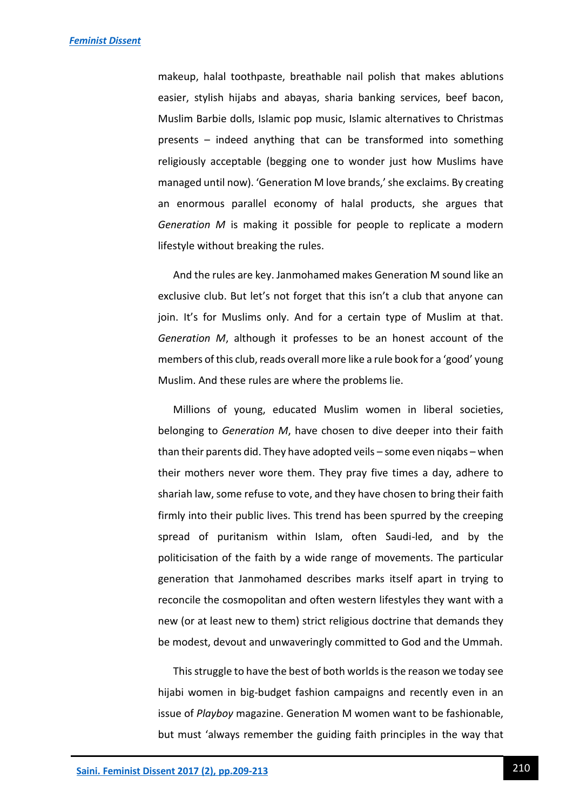makeup, halal toothpaste, breathable nail polish that makes ablutions easier, stylish hijabs and abayas, sharia banking services, beef bacon, Muslim Barbie dolls, Islamic pop music, Islamic alternatives to Christmas presents – indeed anything that can be transformed into something religiously acceptable (begging one to wonder just how Muslims have managed until now). 'Generation M love brands,' she exclaims. By creating an enormous parallel economy of halal products, she argues that *Generation M* is making it possible for people to replicate a modern lifestyle without breaking the rules.

And the rules are key. Janmohamed makes Generation M sound like an exclusive club. But let's not forget that this isn't a club that anyone can join. It's for Muslims only. And for a certain type of Muslim at that. *Generation M*, although it professes to be an honest account of the members of this club, reads overall more like a rule book for a 'good' young Muslim. And these rules are where the problems lie.

Millions of young, educated Muslim women in liberal societies, belonging to *Generation M*, have chosen to dive deeper into their faith than their parents did. They have adopted veils – some even niqabs – when their mothers never wore them. They pray five times a day, adhere to shariah law, some refuse to vote, and they have chosen to bring their faith firmly into their public lives. This trend has been spurred by the creeping spread of puritanism within Islam, often Saudi-led, and by the politicisation of the faith by a wide range of movements. The particular generation that Janmohamed describes marks itself apart in trying to reconcile the cosmopolitan and often western lifestyles they want with a new (or at least new to them) strict religious doctrine that demands they be modest, devout and unwaveringly committed to God and the Ummah.

This struggle to have the best of both worlds is the reason we today see hijabi women in big-budget fashion campaigns and recently even in an issue of *Playboy* magazine. Generation M women want to be fashionable, but must 'always remember the guiding faith principles in the way that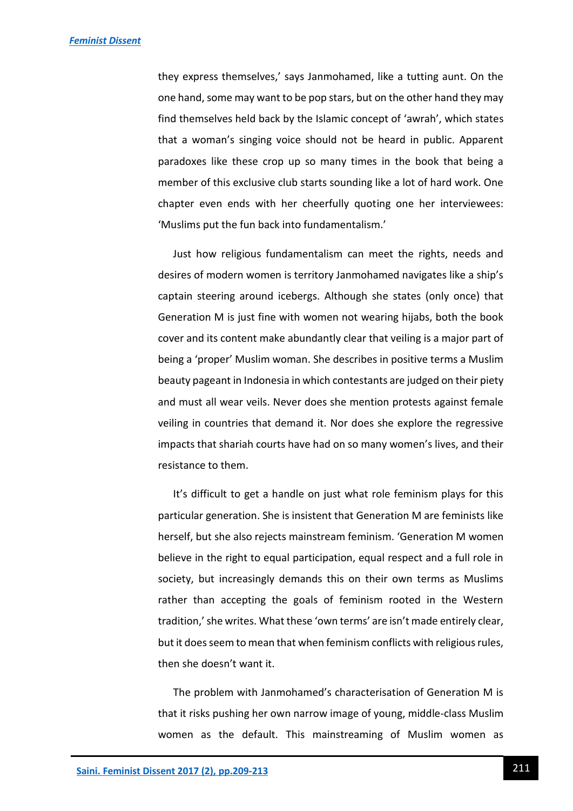they express themselves,' says Janmohamed, like a tutting aunt. On the one hand, some may want to be pop stars, but on the other hand they may find themselves held back by the Islamic concept of 'awrah', which states that a woman's singing voice should not be heard in public. Apparent paradoxes like these crop up so many times in the book that being a member of this exclusive club starts sounding like a lot of hard work. One chapter even ends with her cheerfully quoting one her interviewees: 'Muslims put the fun back into fundamentalism.'

Just how religious fundamentalism can meet the rights, needs and desires of modern women is territory Janmohamed navigates like a ship's captain steering around icebergs. Although she states (only once) that Generation M is just fine with women not wearing hijabs, both the book cover and its content make abundantly clear that veiling is a major part of being a 'proper' Muslim woman. She describes in positive terms a Muslim beauty pageant in Indonesia in which contestants are judged on their piety and must all wear veils. Never does she mention protests against female veiling in countries that demand it. Nor does she explore the regressive impacts that shariah courts have had on so many women's lives, and their resistance to them.

It's difficult to get a handle on just what role feminism plays for this particular generation. She is insistent that Generation M are feminists like herself, but she also rejects mainstream feminism. 'Generation M women believe in the right to equal participation, equal respect and a full role in society, but increasingly demands this on their own terms as Muslims rather than accepting the goals of feminism rooted in the Western tradition,' she writes. What these 'own terms' are isn't made entirely clear, but it does seem to mean that when feminism conflicts with religious rules, then she doesn't want it.

The problem with Janmohamed's characterisation of Generation M is that it risks pushing her own narrow image of young, middle-class Muslim women as the default. This mainstreaming of Muslim women as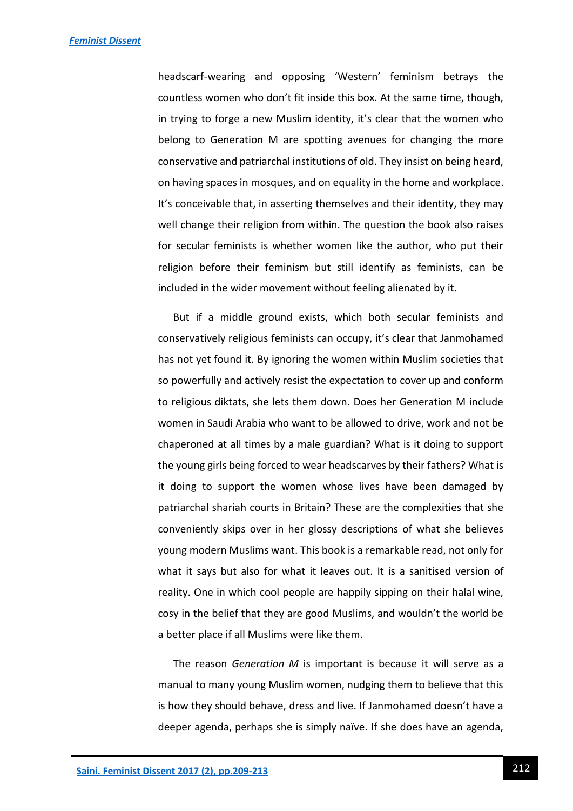headscarf-wearing and opposing 'Western' feminism betrays the countless women who don't fit inside this box. At the same time, though, in trying to forge a new Muslim identity, it's clear that the women who belong to Generation M are spotting avenues for changing the more conservative and patriarchal institutions of old. They insist on being heard, on having spaces in mosques, and on equality in the home and workplace. It's conceivable that, in asserting themselves and their identity, they may well change their religion from within. The question the book also raises for secular feminists is whether women like the author, who put their religion before their feminism but still identify as feminists, can be included in the wider movement without feeling alienated by it.

But if a middle ground exists, which both secular feminists and conservatively religious feminists can occupy, it's clear that Janmohamed has not yet found it. By ignoring the women within Muslim societies that so powerfully and actively resist the expectation to cover up and conform to religious diktats, she lets them down. Does her Generation M include women in Saudi Arabia who want to be allowed to drive, work and not be chaperoned at all times by a male guardian? What is it doing to support the young girls being forced to wear headscarves by their fathers? What is it doing to support the women whose lives have been damaged by patriarchal shariah courts in Britain? These are the complexities that she conveniently skips over in her glossy descriptions of what she believes young modern Muslims want. This book is a remarkable read, not only for what it says but also for what it leaves out. It is a sanitised version of reality. One in which cool people are happily sipping on their halal wine, cosy in the belief that they are good Muslims, and wouldn't the world be a better place if all Muslims were like them.

The reason *Generation M* is important is because it will serve as a manual to many young Muslim women, nudging them to believe that this is how they should behave, dress and live. If Janmohamed doesn't have a deeper agenda, perhaps she is simply naïve. If she does have an agenda,